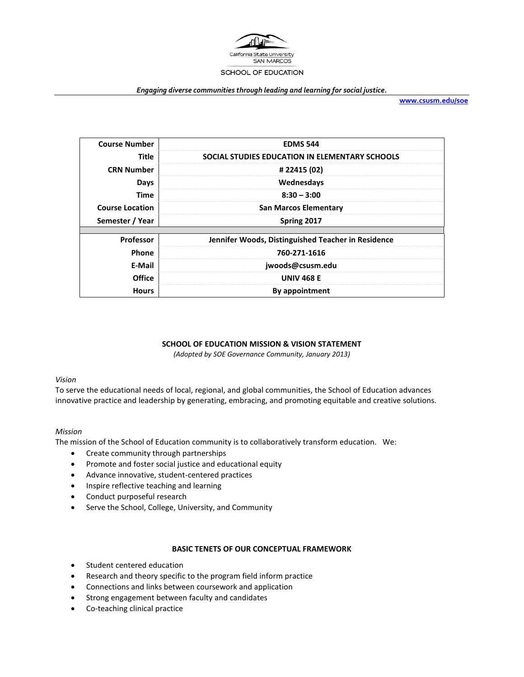

#### *Engaging diverse communities through leading and learning for social justice.*

**[www.csusm.edu/soe](http://www.csusm.edu/soe)**

| <b>Course Number</b>   | <b>EDMS 544</b>                                    |  |  |  |
|------------------------|----------------------------------------------------|--|--|--|
| Title                  | SOCIAL STUDIES EDUCATION IN ELEMENTARY SCHOOLS     |  |  |  |
| <b>CRN Number</b>      | # 22415 (02)                                       |  |  |  |
| Days                   | Wednesdays                                         |  |  |  |
| <b>Time</b>            | $8:30 - 3:00$                                      |  |  |  |
| <b>Course Location</b> | <b>San Marcos Elementary</b>                       |  |  |  |
| Semester / Year        | Spring 2017                                        |  |  |  |
|                        |                                                    |  |  |  |
| <b>Professor</b>       | Jennifer Woods, Distinguished Teacher in Residence |  |  |  |
| Phone                  | 760-271-1616                                       |  |  |  |
| E-Mail                 | jwoods@csusm.edu                                   |  |  |  |
| <b>Office</b>          | <b>UNIV 468 E</b>                                  |  |  |  |
| <b>Hours</b>           | By appointment                                     |  |  |  |

### **SCHOOL OF EDUCATION MISSION & VISION STATEMENT**

*(Adopted by SOE Governance Community, January 2013)*

#### *Vision*

To serve the educational needs of local, regional, and global communities, the School of Education advances innovative practice and leadership by generating, embracing, and promoting equitable and creative solutions.

#### *Mission*

The mission of the School of Education community is to collaboratively transform education. We:

- Create community through partnerships
- Promote and foster social justice and educational equity
- Advance innovative, student-centered practices
- Inspire reflective teaching and learning
- Conduct purposeful research
- Serve the School, College, University, and Community

#### **BASIC TENETS OF OUR CONCEPTUAL FRAMEWORK**

- Student centered education
- Research and theory specific to the program field inform practice
- Connections and links between coursework and application
- Strong engagement between faculty and candidates
- Co-teaching clinical practice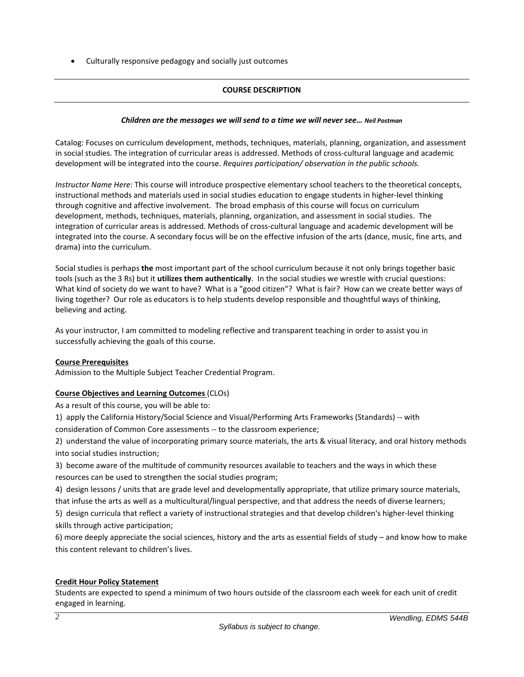• Culturally responsive pedagogy and socially just outcomes

## **COURSE DESCRIPTION**

### *Children are the messages we will send to a time we will never see… Neil Postman*

Catalog: Focuses on curriculum development, methods, techniques, materials, planning, organization, and assessment in social studies. The integration of curricular areas is addressed. Methods of cross-cultural language and academic development will be integrated into the course. *Requires participation/ observation in the public schools.*

*Instructor Name Here:* This course will introduce prospective elementary school teachers to the theoretical concepts, instructional methods and materials used in social studies education to engage students in higher-level thinking through cognitive and affective involvement. The broad emphasis of this course will focus on curriculum development, methods, techniques, materials, planning, organization, and assessment in social studies. The integration of curricular areas is addressed. Methods of cross-cultural language and academic development will be integrated into the course. A secondary focus will be on the effective infusion of the arts (dance, music, fine arts, and drama) into the curriculum.

Social studies is perhaps **the** most important part of the school curriculum because it not only brings together basic tools (such as the 3 Rs) but it **utilizes them authentically**. In the social studies we wrestle with crucial questions: What kind of society do we want to have? What is a "good citizen"? What is fair? How can we create better ways of living together? Our role as educators is to help students develop responsible and thoughtful ways of thinking, believing and acting.

As your instructor, I am committed to modeling reflective and transparent teaching in order to assist you in successfully achieving the goals of this course.

### **Course Prerequisites**

Admission to the Multiple Subject Teacher Credential Program.

# **Course Objectives and Learning Outcomes** (CLOs)

As a result of this course, you will be able to:

1) apply the California History/Social Science and Visual/Performing Arts Frameworks (Standards) -- with consideration of Common Core assessments -- to the classroom experience;

2) understand the value of incorporating primary source materials, the arts & visual literacy, and oral history methods into social studies instruction;

3) become aware of the multitude of community resources available to teachers and the ways in which these resources can be used to strengthen the social studies program;

4) design lessons / units that are grade level and developmentally appropriate, that utilize primary source materials, that infuse the arts as well as a multicultural/lingual perspective, and that address the needs of diverse learners;

5) design curricula that reflect a variety of instructional strategies and that develop children's higher-level thinking skills through active participation;

6) more deeply appreciate the social sciences, history and the arts as essential fields of study – and know how to make this content relevant to children's lives.

### **Credit Hour Policy Statement**

Students are expected to spend a minimum of two hours outside of the classroom each week for each unit of credit engaged in learning.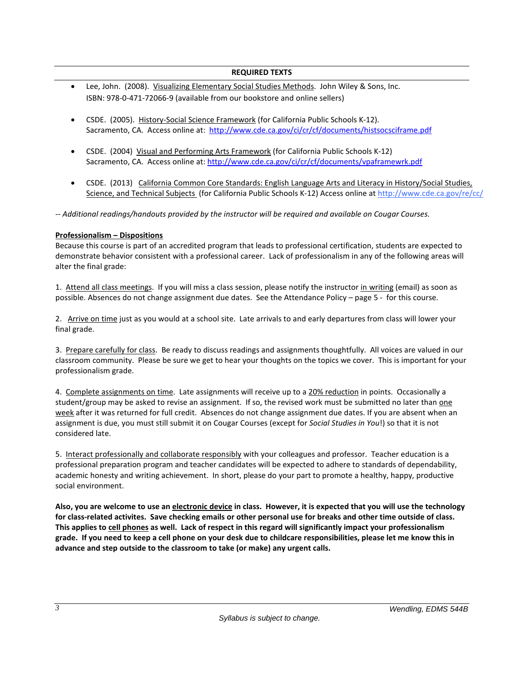### **REQUIRED TEXTS**

- Lee, John. (2008). Visualizing Elementary Social Studies Methods. John Wiley & Sons, Inc. ISBN: 978-0-471-72066-9 (available from our bookstore and online sellers)
- CSDE. (2005). History-Social Science Framework (for California Public Schools K-12). Sacramento, CA. Access online at:<http://www.cde.ca.gov/ci/cr/cf/documents/histsocsciframe.pdf>
- CSDE. (2004) Visual and Performing Arts Framework (for California Public Schools K-12) Sacramento, CA. Access online at[: http://www.cde.ca.gov/ci/cr/cf/documents/vpaframewrk.pdf](http://www.cde.ca.gov/ci/cr/cf/documents/vpaframewrk.pdf)
- CSDE. (2013) California Common Core Standards: English Language Arts and Literacy in History/Social Studies, Science, and Technical Subjects (for California Public Schools K-12) Access online a[t http://www.cde.ca.gov/re/cc/](http://www.cde.ca.gov/re/cc/)

*-- Additional readings/handouts provided by the instructor will be required and available on Cougar Courses.*

### **Professionalism – Dispositions**

Because this course is part of an accredited program that leads to professional certification, students are expected to demonstrate behavior consistent with a professional career. Lack of professionalism in any of the following areas will alter the final grade:

1. Attend all class meetings. If you will miss a class session, please notify the instructor in writing (email) as soon as possible. Absences do not change assignment due dates. See the Attendance Policy – page 5 - for this course.

2. Arrive on time just as you would at a school site. Late arrivals to and early departures from class will lower your final grade.

3. Prepare carefully for class. Be ready to discuss readings and assignments thoughtfully. All voices are valued in our classroom community. Please be sure we get to hear your thoughts on the topics we cover. This is important for your professionalism grade.

4. Complete assignments on time. Late assignments will receive up to a 20% reduction in points. Occasionally a student/group may be asked to revise an assignment. If so, the revised work must be submitted no later than one week after it was returned for full credit. Absences do not change assignment due dates. If you are absent when an assignment is due, you must still submit it on Cougar Courses (except for *Social Studies in You*!) so that it is not considered late.

5. Interact professionally and collaborate responsibly with your colleagues and professor. Teacher education is a professional preparation program and teacher candidates will be expected to adhere to standards of dependability, academic honesty and writing achievement. In short, please do your part to promote a healthy, happy, productive social environment.

**Also, you are welcome to use an electronic device in class. However, it is expected that you will use the technology for class-related activites. Save checking emails or other personal use for breaks and other time outside of class. This applies to cell phones as well. Lack of respect in this regard will significantly impact your professionalism grade. If you need to keep a cell phone on your desk due to childcare responsibilities, please let me know this in advance and step outside to the classroom to take (or make) any urgent calls.**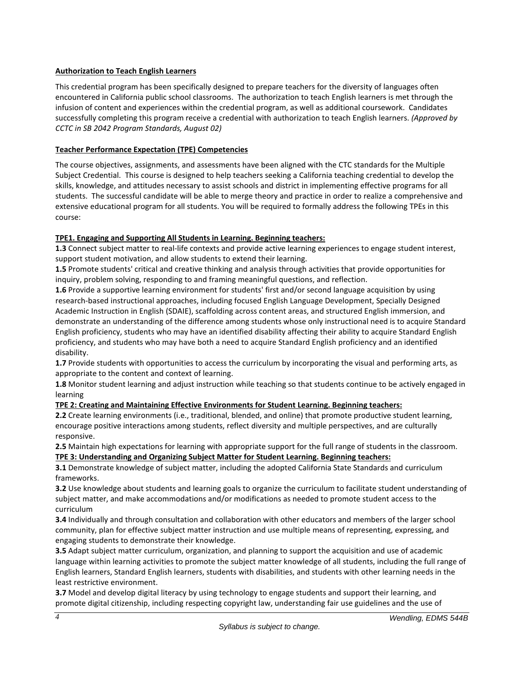## **Authorization to Teach English Learners**

This credential program has been specifically designed to prepare teachers for the diversity of languages often encountered in California public school classrooms. The authorization to teach English learners is met through the infusion of content and experiences within the credential program, as well as additional coursework. Candidates successfully completing this program receive a credential with authorization to teach English learners. *(Approved by CCTC in SB 2042 Program Standards, August 02)*

## **Teacher Performance Expectation (TPE) Competencies**

The course objectives, assignments, and assessments have been aligned with the CTC standards for the Multiple Subject Credential. This course is designed to help teachers seeking a California teaching credential to develop the skills, knowledge, and attitudes necessary to assist schools and district in implementing effective programs for all students. The successful candidate will be able to merge theory and practice in order to realize a comprehensive and extensive educational program for all students. You will be required to formally address the following TPEs in this course:

# **TPE1. Engaging and Supporting All Students in Learning. Beginning teachers:**

**1.3** Connect subject matter to real-life contexts and provide active learning experiences to engage student interest, support student motivation, and allow students to extend their learning.

**1.5** Promote students' critical and creative thinking and analysis through activities that provide opportunities for inquiry, problem solving, responding to and framing meaningful questions, and reflection.

**1.6** Provide a supportive learning environment for students' first and/or second language acquisition by using research-based instructional approaches, including focused English Language Development, Specially Designed Academic Instruction in English (SDAIE), scaffolding across content areas, and structured English immersion, and demonstrate an understanding of the difference among students whose only instructional need is to acquire Standard English proficiency, students who may have an identified disability affecting their ability to acquire Standard English proficiency, and students who may have both a need to acquire Standard English proficiency and an identified disability.

**1.7** Provide students with opportunities to access the curriculum by incorporating the visual and performing arts, as appropriate to the content and context of learning.

**1.8** Monitor student learning and adjust instruction while teaching so that students continue to be actively engaged in learning

# **TPE 2: Creating and Maintaining Effective Environments for Student Learning. Beginning teachers:**

**2.2** Create learning environments (i.e., traditional, blended, and online) that promote productive student learning, encourage positive interactions among students, reflect diversity and multiple perspectives, and are culturally responsive.

**2.5** Maintain high expectations for learning with appropriate support for the full range of students in the classroom. **TPE 3: Understanding and Organizing Subject Matter for Student Learning. Beginning teachers:**

**3.1** Demonstrate knowledge of subject matter, including the adopted California State Standards and curriculum frameworks.

**3.2** Use knowledge about students and learning goals to organize the curriculum to facilitate student understanding of subject matter, and make accommodations and/or modifications as needed to promote student access to the curriculum

**3.4** Individually and through consultation and collaboration with other educators and members of the larger school community, plan for effective subject matter instruction and use multiple means of representing, expressing, and engaging students to demonstrate their knowledge.

**3.5** Adapt subject matter curriculum, organization, and planning to support the acquisition and use of academic language within learning activities to promote the subject matter knowledge of all students, including the full range of English learners, Standard English learners, students with disabilities, and students with other learning needs in the least restrictive environment.

**3.7** Model and develop digital literacy by using technology to engage students and support their learning, and promote digital citizenship, including respecting copyright law, understanding fair use guidelines and the use of

*4*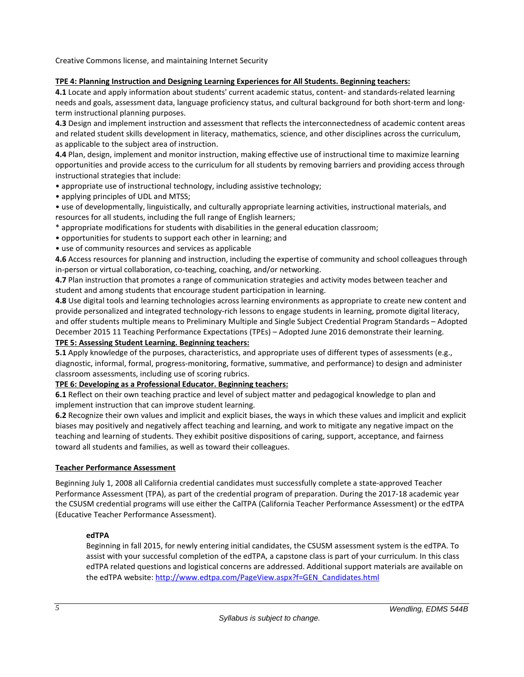Creative Commons license, and maintaining Internet Security

### **TPE 4: Planning Instruction and Designing Learning Experiences for All Students. Beginning teachers:**

**4.1** Locate and apply information about students' current academic status, content- and standards-related learning needs and goals, assessment data, language proficiency status, and cultural background for both short-term and longterm instructional planning purposes.

**4.3** Design and implement instruction and assessment that reflects the interconnectedness of academic content areas and related student skills development in literacy, mathematics, science, and other disciplines across the curriculum, as applicable to the subject area of instruction.

**4.4** Plan, design, implement and monitor instruction, making effective use of instructional time to maximize learning opportunities and provide access to the curriculum for all students by removing barriers and providing access through instructional strategies that include:

- appropriate use of instructional technology, including assistive technology;
- applying principles of UDL and MTSS;

• use of developmentally, linguistically, and culturally appropriate learning activities, instructional materials, and resources for all students, including the full range of English learners;

- \* appropriate modifications for students with disabilities in the general education classroom;
- opportunities for students to support each other in learning; and
- use of community resources and services as applicable

**4.6** Access resources for planning and instruction, including the expertise of community and school colleagues through in-person or virtual collaboration, co-teaching, coaching, and/or networking.

**4.7** Plan instruction that promotes a range of communication strategies and activity modes between teacher and student and among students that encourage student participation in learning.

**4.8** Use digital tools and learning technologies across learning environments as appropriate to create new content and provide personalized and integrated technology-rich lessons to engage students in learning, promote digital literacy, and offer students multiple means to Preliminary Multiple and Single Subject Credential Program Standards – Adopted December 2015 11 Teaching Performance Expectations (TPEs) – Adopted June 2016 demonstrate their learning.

### **TPE 5: Assessing Student Learning. Beginning teachers:**

**5.1** Apply knowledge of the purposes, characteristics, and appropriate uses of different types of assessments (e.g., diagnostic, informal, formal, progress-monitoring, formative, summative, and performance) to design and administer classroom assessments, including use of scoring rubrics.

### **TPE 6: Developing as a Professional Educator. Beginning teachers:**

**6.1** Reflect on their own teaching practice and level of subject matter and pedagogical knowledge to plan and implement instruction that can improve student learning.

**6.2** Recognize their own values and implicit and explicit biases, the ways in which these values and implicit and explicit biases may positively and negatively affect teaching and learning, and work to mitigate any negative impact on the teaching and learning of students. They exhibit positive dispositions of caring, support, acceptance, and fairness toward all students and families, as well as toward their colleagues.

# **Teacher Performance Assessment**

Beginning July 1, 2008 all California credential candidates must successfully complete a state-approved Teacher Performance Assessment (TPA), as part of the credential program of preparation. During the 2017-18 academic year the CSUSM credential programs will use either the CalTPA (California Teacher Performance Assessment) or the edTPA (Educative Teacher Performance Assessment).

# **edTPA**

Beginning in fall 2015, for newly entering initial candidates, the CSUSM assessment system is the edTPA. To assist with your successful completion of the edTPA, a capstone class is part of your curriculum. In this class edTPA related questions and logistical concerns are addressed. Additional support materials are available on the edTPA website: [http://www.edtpa.com/PageView.aspx?f=GEN\\_Candidates.html](http://www.edtpa.com/PageView.aspx?f=GEN_Candidates.html)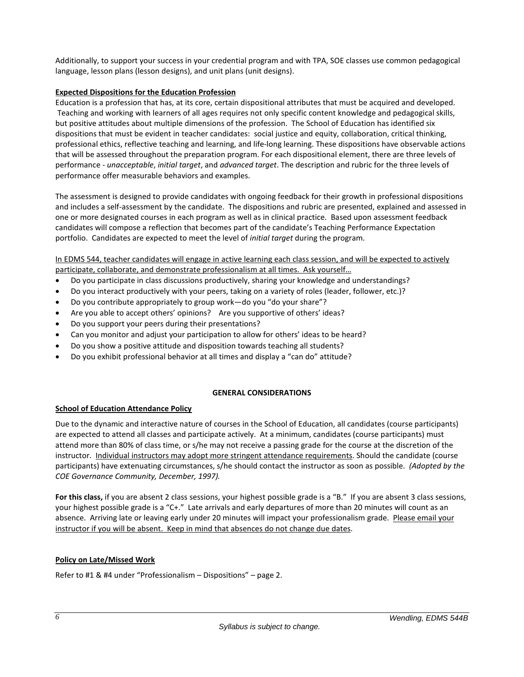Additionally, to support your success in your credential program and with TPA, SOE classes use common pedagogical language, lesson plans (lesson designs), and unit plans (unit designs).

## **Expected Dispositions for the Education Profession**

Education is a profession that has, at its core, certain dispositional attributes that must be acquired and developed. Teaching and working with learners of all ages requires not only specific content knowledge and pedagogical skills, but positive attitudes about multiple dimensions of the profession. The School of Education has identified six dispositions that must be evident in teacher candidates: social justice and equity, collaboration, critical thinking, professional ethics, reflective teaching and learning, and life-long learning. These dispositions have observable actions that will be assessed throughout the preparation program. For each dispositional element, there are three levels of performance - *unacceptable*, *initial target*, and *advanced target*. The description and rubric for the three levels of performance offer measurable behaviors and examples.

The assessment is designed to provide candidates with ongoing feedback for their growth in professional dispositions and includes a self-assessment by the candidate. The dispositions and rubric are presented, explained and assessed in one or more designated courses in each program as well as in clinical practice. Based upon assessment feedback candidates will compose a reflection that becomes part of the candidate's Teaching Performance Expectation portfolio. Candidates are expected to meet the level of *initial target* during the program.

## In EDMS 544, teacher candidates will engage in active learning each class session, and will be expected to actively participate, collaborate, and demonstrate professionalism at all times. Ask yourself…

- Do you participate in class discussions productively, sharing your knowledge and understandings?
- Do you interact productively with your peers, taking on a variety of roles (leader, follower, etc.)?
- Do you contribute appropriately to group work—do you "do your share"?
- Are you able to accept others' opinions? Are you supportive of others' ideas?
- Do you support your peers during their presentations?
- Can you monitor and adjust your participation to allow for others' ideas to be heard?
- Do you show a positive attitude and disposition towards teaching all students?
- Do you exhibit professional behavior at all times and display a "can do" attitude?

### **GENERAL CONSIDERATIONS**

### **School of Education Attendance Policy**

Due to the dynamic and interactive nature of courses in the School of Education, all candidates (course participants) are expected to attend all classes and participate actively. At a minimum, candidates (course participants) must attend more than 80% of class time, or s/he may not receive a passing grade for the course at the discretion of the instructor. Individual instructors may adopt more stringent attendance requirements. Should the candidate (course participants) have extenuating circumstances, s/he should contact the instructor as soon as possible. *(Adopted by the COE Governance Community, December, 1997).*

**For this class,** if you are absent 2 class sessions, your highest possible grade is a "B." If you are absent 3 class sessions, your highest possible grade is a "C+." Late arrivals and early departures of more than 20 minutes will count as an absence. Arriving late or leaving early under 20 minutes will impact your professionalism grade. Please email your instructor if you will be absent. Keep in mind that absences do not change due dates.

### **Policy on Late/Missed Work**

Refer to #1 & #4 under "Professionalism – Dispositions" – page 2.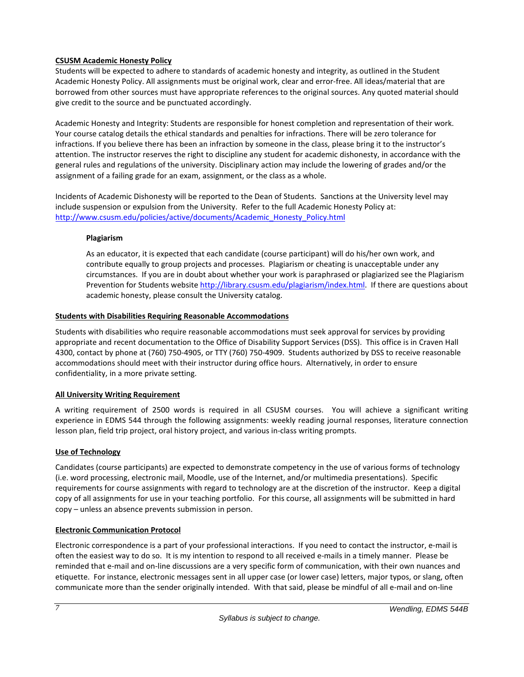## **CSUSM Academic Honesty Policy**

Students will be expected to adhere to standards of academic honesty and integrity, as outlined in the Student Academic Honesty Policy. All assignments must be original work, clear and error-free. All ideas/material that are borrowed from other sources must have appropriate references to the original sources. Any quoted material should give credit to the source and be punctuated accordingly.

Academic Honesty and Integrity: Students are responsible for honest completion and representation of their work. Your course catalog details the ethical standards and penalties for infractions. There will be zero tolerance for infractions. If you believe there has been an infraction by someone in the class, please bring it to the instructor's attention. The instructor reserves the right to discipline any student for academic dishonesty, in accordance with the general rules and regulations of the university. Disciplinary action may include the lowering of grades and/or the assignment of a failing grade for an exam, assignment, or the class as a whole.

Incidents of Academic Dishonesty will be reported to the Dean of Students. Sanctions at the University level may include suspension or expulsion from the University. Refer to the full Academic Honesty Policy at: [http://www.csusm.edu/policies/active/documents/Academic\\_Honesty\\_Policy.html](http://www.csusm.edu/policies/active/documents/Academic_Honesty_Policy.html)

## **Plagiarism**

As an educator, it is expected that each candidate (course participant) will do his/her own work, and contribute equally to group projects and processes. Plagiarism or cheating is unacceptable under any circumstances. If you are in doubt about whether your work is paraphrased or plagiarized see the Plagiarism Prevention for Students website [http://library.csusm.edu/plagiarism/index.html.](http://library.csusm.edu/plagiarism/index.html) If there are questions about academic honesty, please consult the University catalog.

## **Students with Disabilities Requiring Reasonable Accommodations**

Students with disabilities who require reasonable accommodations must seek approval for services by providing appropriate and recent documentation to the Office of Disability Support Services (DSS). This office is in Craven Hall 4300, contact by phone at (760) 750-4905, or TTY (760) 750-4909. Students authorized by DSS to receive reasonable accommodations should meet with their instructor during office hours. Alternatively, in order to ensure confidentiality, in a more private setting.

# **All University Writing Requirement**

A writing requirement of 2500 words is required in all CSUSM courses. You will achieve a significant writing experience in EDMS 544 through the following assignments: weekly reading journal responses, literature connection lesson plan, field trip project, oral history project, and various in-class writing prompts.

# **Use of Technology**

Candidates (course participants) are expected to demonstrate competency in the use of various forms of technology (i.e. word processing, electronic mail, Moodle, use of the Internet, and/or multimedia presentations). Specific requirements for course assignments with regard to technology are at the discretion of the instructor. Keep a digital copy of all assignments for use in your teaching portfolio. For this course, all assignments will be submitted in hard copy – unless an absence prevents submission in person.

# **Electronic Communication Protocol**

Electronic correspondence is a part of your professional interactions. If you need to contact the instructor, e-mail is often the easiest way to do so. It is my intention to respond to all received e-mails in a timely manner. Please be reminded that e-mail and on-line discussions are a very specific form of communication, with their own nuances and etiquette. For instance, electronic messages sent in all upper case (or lower case) letters, major typos, or slang, often communicate more than the sender originally intended. With that said, please be mindful of all e-mail and on-line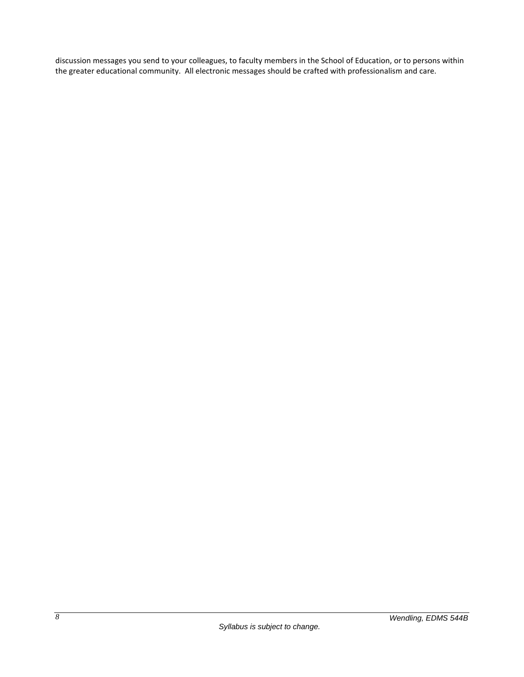discussion messages you send to your colleagues, to faculty members in the School of Education, or to persons within the greater educational community. All electronic messages should be crafted with professionalism and care.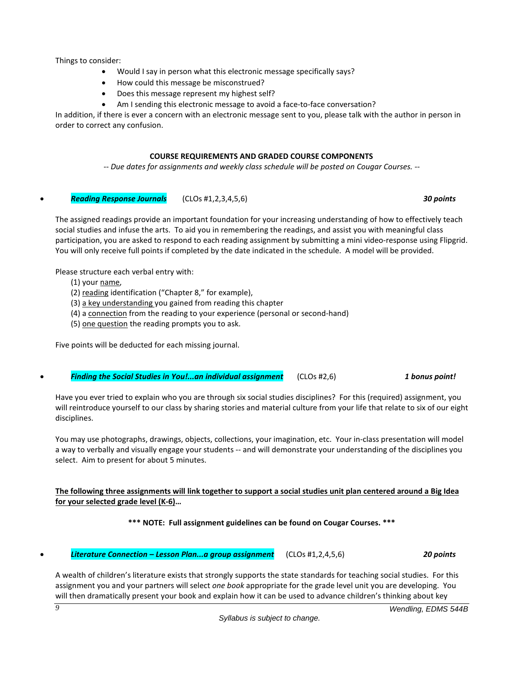Things to consider:

- Would I say in person what this electronic message specifically says?
- How could this message be misconstrued?
- Does this message represent my highest self?
- Am I sending this electronic message to avoid a face-to-face conversation?

In addition, if there is ever a concern with an electronic message sent to you, please talk with the author in person in order to correct any confusion.

### **COURSE REQUIREMENTS AND GRADED COURSE COMPONENTS**

*-- Due dates for assignments and weekly class schedule will be posted on Cougar Courses. --*

• *Reading Response Journals* (CLOs #1,2,3,4,5,6) *30 points*

The assigned readings provide an important foundation for your increasing understanding of how to effectively teach social studies and infuse the arts. To aid you in remembering the readings, and assist you with meaningful class participation, you are asked to respond to each reading assignment by submitting a mini video-response using Flipgrid. You will only receive full points if completed by the date indicated in the schedule. A model will be provided.

Please structure each verbal entry with:

- (1) your name,
- (2) reading identification ("Chapter 8," for example),
- (3) a key understanding you gained from reading this chapter
- (4) a connection from the reading to your experience (personal or second-hand)
- (5) one question the reading prompts you to ask.

Five points will be deducted for each missing journal.

### • *Finding the Social Studies in You!...an individual assignment* (CLOs #2,6) *1 bonus point!*

Have you ever tried to explain who you are through six social studies disciplines? For this (required) assignment, you will reintroduce yourself to our class by sharing stories and material culture from your life that relate to six of our eight disciplines.

You may use photographs, drawings, objects, collections, your imagination, etc. Your in-class presentation will model a way to verbally and visually engage your students -- and will demonstrate your understanding of the disciplines you select. Aim to present for about 5 minutes.

## **The following three assignments will link together to support a social studies unit plan centered around a Big Idea for your selected grade level (K-6)…**

### **\*\*\* NOTE: Full assignment guidelines can be found on Cougar Courses. \*\*\***

• *Literature Connection – Lesson Plan...a group assignment* (CLOs #1,2,4,5,6) *20 points*

A wealth of children's literature exists that strongly supports the state standards for teaching social studies. For this assignment you and your partners will select *one book* appropriate for the grade level unit you are developing. You will then dramatically present your book and explain how it can be used to advance children's thinking about key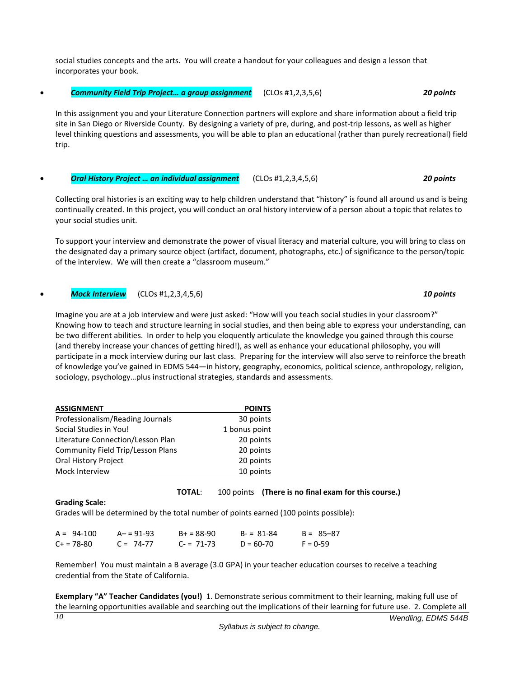social studies concepts and the arts. You will create a handout for your colleagues and design a lesson that incorporates your book.

• *Community Field Trip Project… a group assignment* (CLOs #1,2,3,5,6) *20 points*

In this assignment you and your Literature Connection partners will explore and share information about a field trip site in San Diego or Riverside County. By designing a variety of pre, during, and post-trip lessons, as well as higher level thinking questions and assessments, you will be able to plan an educational (rather than purely recreational) field trip.

#### • *Oral History Project … an individual assignment* (CLOs #1,2,3,4,5,6) *20 points*

Collecting oral histories is an exciting way to help children understand that "history" is found all around us and is being continually created. In this project, you will conduct an oral history interview of a person about a topic that relates to your social studies unit.

To support your interview and demonstrate the power of visual literacy and material culture, you will bring to class on the designated day a primary source object (artifact, document, photographs, etc.) of significance to the person/topic of the interview. We will then create a "classroom museum."

#### • *Mock Interview* (CLOs #1,2,3,4,5,6) *10 points*

Imagine you are at a job interview and were just asked: "How will you teach social studies in your classroom?" Knowing how to teach and structure learning in social studies, and then being able to express your understanding, can be two different abilities. In order to help you eloquently articulate the knowledge you gained through this course (and thereby increase your chances of getting hired!), as well as enhance your educational philosophy, you will participate in a mock interview during our last class. Preparing for the interview will also serve to reinforce the breath of knowledge you've gained in EDMS 544—in history, geography, economics, political science, anthropology, religion, sociology, psychology…plus instructional strategies, standards and assessments.

| <b>ASSIGNMENT</b>                 | <b>POINTS</b> |
|-----------------------------------|---------------|
| Professionalism/Reading Journals  | 30 points     |
| Social Studies in You!            | 1 bonus point |
| Literature Connection/Lesson Plan | 20 points     |
| Community Field Trip/Lesson Plans | 20 points     |
| Oral History Project              | 20 points     |
| Mock Interview                    | 10 points     |

### **TOTAL**: 100 points **(There is no final exam for this course.)**

# **Grading Scale:**

Grades will be determined by the total number of points earned (100 points possible):

| $A = 94-100$ | $A - 91 - 93$ | $B+ = 88-90$ | $B - = 81 - 84$ | $B = 85 - 87$ |
|--------------|---------------|--------------|-----------------|---------------|
| $C+ = 78-80$ | $C = 74-77$   | $C = 71-73$  | $D = 60 - 70$   | $F = 0-59$    |

Remember! You must maintain a B average (3.0 GPA) in your teacher education courses to receive a teaching credential from the State of California.

*Wendling, EDMS 544B 10* **Exemplary "A" Teacher Candidates (you!)** 1. Demonstrate serious commitment to their learning, making full use of the learning opportunities available and searching out the implications of their learning for future use.2. Complete all